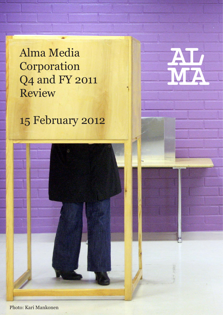Alma Media **Corporation** Q4 and FY 2011 Review

15 February 2012



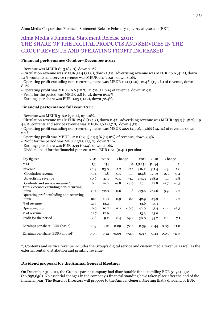# Alma Media Corporation Financial Statement Release February 15, 2012 at 9:00am (EET)

# Alma Media's Financial Statement Release 2011: THE SHARE OF THE DIGITAL PRODUCTS AND SERVICES IN THE GROUP REVENUE AND OPERATING PROFIT INCREASED

## **Financial performance October–December 2011:**

- Revenue was MEUR 81.3 (83.0), down 2.1%.

- Circulation revenue was MEUR 31.4 (31.8), down 1.5%, advertising revenue was MEUR 40.6 (41.1), down

1.1%, contents and service revenue was MEUR 9.4 (10.2), down 8.0%.

- Operating profit excluding non-recurring items was MEUR 10.1 (11.0), 12.4% (13.2%) of revenue, down 8.1%.

- Operating profit was MEUR 9.6 (10.7), 11.7% (12.9%) of revenue, down 10.9%.

- Profit for the period was MEUR 2.8 (9.2), down 69.2%.

- Earnings per share was EUR 0.03 (0.12), down 72.4%.

## **Financial performance full year 2011:**

- Revenue was MEUR 316.2 (311.4), up 1.6%.

- Circulation revenue was MEUR 124.8 (125.3), down 0.4%, advertising revenue was MEUR 155.3 (148.2), up 4.8%, contents and service revenue was MEUR 36.1 (37.8), down 4.5%.

- Operating profit excluding non-recurring items was MEUR 42.9 (43.9), 13.6% (14.1%) of revenue, down 2.2%.

- Operating profit was MEUR 42.0 (43.4), 13.3 % (13.9%) of revenue, down 3.3%.

- Profit for the period was MEUR 30.8 (33.2), down 7.1%.

- Earnings per share was EUR 0.39 (0.44), down 11.0%.

- Dividend paid for the financial year 2010 was EUR 0.70 (0.40) per share.

| Key figures                                                               | 2011 | 2010 | Change  |         | 2011    | 2010    | Change |         |
|---------------------------------------------------------------------------|------|------|---------|---------|---------|---------|--------|---------|
| <b>MEUR</b>                                                               | Q4   | Q4   |         | %       | $Q1-Q4$ | $Q1-Q4$ |        | %       |
| Revenue                                                                   | 81.3 | 83.0 | $-1.7$  | $-2.1$  | 316.2   | 311.4   | 4.9    | 1.6     |
| Circulation revenue                                                       | 31.4 | 31.8 | $-0.5$  | $-1.5$  | 124.8   | 125.3   | $-0.5$ | $-0.4$  |
| Advertising revenue                                                       | 40.6 | 41.1 | $-0.5$  | $-1.1$  | 155.3   | 148.2   | 7.1    | 4.8     |
| Contents and service revenue *)<br>Total expenses excluding non-recurring | 9.4  | 10.2 | $-0.8$  | $-8.0$  | 36.1    | 37.8    | $-1.7$ | $-4.5$  |
| items                                                                     | 71.4 | 72.0 | $-0.6$  | $-0.8$  | 273.6   | 267.6   | 5.9    | 2.2     |
| Operating profit excluding non-recurring                                  |      |      |         |         |         |         |        |         |
| items                                                                     | 10.1 | 11.0 | $-0.9$  | $-8.1$  | 42.9    | 43.9    | $-1.0$ | $-2.2$  |
| % of revenue                                                              | 12.4 | 13.2 |         |         | 13.6    | 14.1    |        |         |
| Operating profit                                                          | 9.6  | 10.7 | $-1.2$  | $-10.9$ | 42.0    | 43.4    | $-1.4$ | $-3.3$  |
| % of revenue                                                              | 11.7 | 12.9 |         |         | 13.3    | 13.9    |        |         |
| Profit for the period                                                     | 2.8  | 9.2  | $-6.4$  | $-69.2$ | 30.8    | 33.2    | $-2.4$ | $-7.1$  |
| Earnings per share, EUR (basic)                                           | 0.03 | 0.12 | $-0.09$ | $-72.4$ | 0.39    | 0.44    | 0.05   | $-11.0$ |
| Earnings per share, EUR (diluted)                                         | 0.03 | 0.12 | $-0.09$ | $-72.5$ | 0.39    | 0.44    | 0.05   | $-11.3$ |

\*) Contents and service revenue includes the Group's digital service and custom media revenue as well as the external rental, distribution and printing revenue.

## **Dividend proposal for the Annual General Meeting:**

On December 31, 2011, the Group's parent company had distributable funds totalling EUR 51,941,032 (56,858,658). No essential changes in the company's financial standing have taken place after the end of the financial year. The Board of Directors will propose to the Annual General Meeting that a dividend of EUR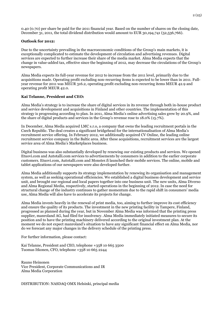0.40 (0.70) per share be paid for the 2011 financial year. Based on the number of shares on the closing date, December 31, 2011, the total dividend distribution would amount to EUR 30,194,741 (52,536,766).

### **Outlook for 2012:**

Due to the uncertainty prevailing in the macroeconomic conditions of the Group's main markets, it is exceptionally complicated to estimate the development of circulation and advertising revenues. Digital services are expected to further increase their share of the media market. Alma Media expects that the change in value-added tax, effective since the beginning of 2012, may decrease the circulations of the Group's newspapers.

Alma Media expects its full-year revenue for 2012 to increase from the 2011 level, primarily due to the acquisitions made. Operating profit excluding non-recurring items is expected to be lower than in 2011. Fullyear revenue for 2011 was MEUR 316.2, operating profit excluding non-recurring items MEUR 42.9 and operating profit MEUR 42.0.

## **Kai Telanne, President and CEO:**

Alma Media's strategy is to increase the share of digital services in its revenue through both in-house product and service development and acquisitions in Finland and other countries. The implementation of this strategy is progressing according to plan. In 2011, Alma Media's online advertising sales grew by 20.9%, and the share of digital products and services in the Group's revenue rose to 18.0% (15.7%).

In December, Alma Media acquired LMC s.r.o, a company that owns the leading recruitment portals in the Czech Republic. The deal creates a significant bridgehead for the internationalisation of Alma Media's recruitment service offering. In February 2012, we additionally acquired CV Online, the leading online recruitment service company in the Baltic area. After these acquisitions, recruitment services are the largest service area of Alma Media's Marketplaces business.

Digital business was also substantially developed by renewing our existing products and services. We opened Etuovi.com and Autotalli.com services to advertisements by consumers in addition to the earlier corporate customers. [Etuovi.com,](http://etuovi.com/) [Autotalli.com](http://autotalli.com/) and [Monster.fi](http://monster.fi/) launched their mobile services. The online, mobile and tablet applications of our newspapers were also developed further.

Alma Media additionally supports its strategy implementation by renewing its organisation and management system, as well as seeking operational efficiencies. We established a digital business development and service unit, and brought our regional and local papers together into one business unit. The new units, Alma Diverso and Alma Regional Media, respectively, started operations in the beginning of 2012. In case the need for structural change of the industry continues to gather momentum due to the rapid shift in consumers' media use, Alma Media will also have to accelerate its projects for change.

Alma Media invests heavily in the renewal of print media, too, aiming to further improve its cost efficiency and ensure the quality of its products. The investment in the new printing facility in Tampere, Finland, progressed as planned during the year, but in November Alma Media was informed that the printing press supplier, manroland AG, had filed for insolvency. Alma Media immediately initiated measures to secure its position and to have the printing machinery delivered according to the original investment plan. At the moment we do not expect manroland's situation to have any significant financial effect on Alma Media, nor do we forecast any major changes in the delivery schedule of the printing press.

For further information, please contact:

Kai Telanne, President and CEO, telephone +358 10 665 3500 Tuomas Itkonen, CFO, telephone +358 10 665 2244

Rauno Heinonen Vice President, Corporate Communications and IR Alma Media Corporation

DISTRIBUTION: NASDAQ OMX Helsinki, principal media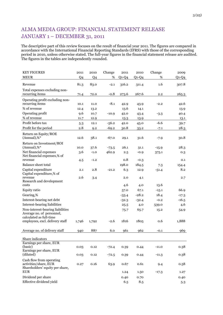# ALMA MEDIA GROUP: FINANCIAL STATEMENT RELEASE JANUARY 1 – DECEMBER 31, 2011

The descriptive part of this review focuses on the result of financial year 2011. The figures are compared in accordance with the International Financial Reporting Standards (IFRS) with those of the corresponding period in 2010, unless otherwise stated. The full-year figures in the financial statement release are audited. The figures in the tables are independently rounded.

| <b>KEY FIGURES</b>                                                                   | 2011           | 2010           | Change  | 2011    | 2010    | Change  | 2009    |
|--------------------------------------------------------------------------------------|----------------|----------------|---------|---------|---------|---------|---------|
| <b>MEUR</b>                                                                          | Q <sub>4</sub> | Q <sub>4</sub> | %       | $Q1-Q4$ | $Q1-Q4$ | %       | $Q1-Q4$ |
| Revenue                                                                              | 81.3           | 83.0           | $-2.1$  | 316.2   | 311.4   | 1.6     | 307.8   |
| Total expenses excluding non-<br>recurring items                                     |                | 72.0           | $-0.8$  |         | 267.6   | $2.2\,$ | 265.3   |
|                                                                                      | 71.4           |                |         | 273.6   |         |         |         |
| Operating profit excluding non-<br>recurring items                                   | 10.1           | 11.0           | $-8.1$  | 42.9    | 43.9    | $-2.2$  | 42.6    |
| % of revenue                                                                         | 12.4           | 13.2           |         | 13.6    | 14.1    |         | 13.9    |
| Operating profit                                                                     | 9.6            | 10.7           | $-10.9$ | 42.0    | 43.4    | $-3.3$  | 40.4    |
| % of revenue                                                                         | 11.7           | 12.9           |         | 13.3    | 13.9    |         | 13.1    |
| Profit before tax                                                                    | 5.3            | 12.1           | $-56.2$ | 42.0    | 45.0    | $-6.6$  | 39.7    |
| Profit for the period                                                                | $_{\rm 2.8}$   | 9.2            | $-69.2$ | 30.8    | 33.2    | $-7.1$  | 28.3    |
| Return on Equity/ROE<br>$(Annual),\%^*$                                              | 12.6           | 38.1           | $-67.0$ | 29.1    | 31.6    | $-7.9$  | 30.8    |
| Return on Investment/ROI                                                             |                |                |         |         |         |         |         |
| $(Annual),\%^*$                                                                      | 10.0           | 37.6           | $-73.5$ | 26.1    | 31.1    | $-15.9$ | 28.3    |
| Net financial expenses<br>Net financial expenses,% of                                | 3.6            | $-1.0$         | 462.9   | 2.5     | $-0.9$  | 375.1   | 0.3     |
| revenue                                                                              | 4.5            | $-1.2$         |         | 0.8     | $-0.3$  |         | 0.1     |
| <b>Balance sheet total</b>                                                           |                |                |         | 198.0   | 184.5   | 7.3     | 154.4   |
| Capital expenditure<br>Capital expenditure,% of                                      | 2.1            | 2.8            | $-21.2$ | 6.3     | 12.9    | $-51.4$ | 8.2     |
| revenue                                                                              | 2.6            | 3.4            |         | 2.0     | 4.1     |         | 2.7     |
| Research and development<br>costs                                                    |                |                |         | 4.6     | 4.0     | 13.6    |         |
| Equity ratio                                                                         |                |                |         | 57.0    | 67.1    | $-15.1$ | 66.9    |
| Gearing,%                                                                            |                |                |         | $-33.4$ | $-28.2$ | 18.4    | $-17.3$ |
| Interest-bearing net debt                                                            |                |                |         | $-32.3$ | $-32.4$ | $-0.2$  | $-16.5$ |
| Interest-bearing liabilities                                                         |                |                |         | 25.5    | 4.0     | 539.0   | 4.6     |
| Non-interest-bearing liabilities<br>Average no. of personnel,                        |                |                |         | 75.7    | 65.7    | 15.2    | 54.9    |
| calculated as full-time<br>employees, excl. delivery staff                           | 1,746          | 1,792          | $-2.6$  | 1816    | 1805    | 0.6     | 1,888   |
| Average no. of delivery staff                                                        | 940            | 887            | 6.0     | 961     | 962     | $-0.1$  | 969     |
| Share indicators                                                                     |                |                |         |         |         |         |         |
| Earnings per share, EUR<br>(basic)                                                   | 0.03           | 0.12           |         | 0.39    | 0.44    | $-11.0$ | 0.38    |
| Earnings per share, EUR                                                              |                |                | $-72.4$ |         |         |         |         |
| (diluted)                                                                            | 0.03           | 0.12           | $-72.5$ | 0.39    | 0.44    | $-11.3$ | 0.38    |
| Cash flow from operating<br>activities/share, EUR<br>Shareholders' equity per share, | 0.27           | 0.16           | 63.9    | 0.67    | 0.61    | 9.4     | 0.58    |
| <b>EUR</b>                                                                           |                |                |         | 1.24    | 1.50    | $-17.3$ | 1.27    |
| Dividend per share                                                                   |                |                |         | 0.40    | 0.70    |         | 0.40    |
| Effective dividend yield                                                             |                |                |         | 6.5     | 8.5     |         | 5.3     |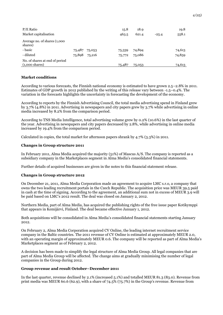| $P/E$ Ratio                                                |        |        | 15.8   | 18.9   |         | 19.8   |
|------------------------------------------------------------|--------|--------|--------|--------|---------|--------|
| Market capitalisation                                      |        |        | 463.5  | 621.4  | $-25.4$ | 558.1  |
| Average no. of shares (1,000<br>shares)                    |        |        |        |        |         |        |
| - basic                                                    | 75,487 | 75,053 | 75,339 | 74,894 |         | 74,613 |
| - diluted                                                  | 75,898 | 75,216 | 75,772 | 75,086 |         | 74,859 |
| No. of shares at end of period<br>$(1,000 \text{ shares})$ |        |        | 75,487 | 75,053 |         | 74,613 |

## **Market conditions**

According to various forecasts, the Finnish national economy is estimated to have grown 2.5–2.8% in 2011. Estimates of GDP growth in 2012 published by the writing of this release vary between -1.5–0.4%. The variation in the forecasts highlights the uncertainty in forecasting the development of the economy.

According to reports by the Finnish Advertising Council, the total media advertising spend in Finland grew by 3.7% (4.8%) in 2011. Advertising in newspapers and city papers grew by 3.7% while advertising in online media increased by 8.2% from the comparison period.

According to TNS Media Intelligence, total advertising volume grew by 0.2% (10.6%) in the last quarter of the year. Advertising in newspapers and city papers decreased by 2.8%, while advertising in online media increased by 19.4% from the comparison period.

Calculated in copies, the total market for afternoon papers shrank by 4.7% (3.3%) in 2011.

## **Changes in Group structure 2011**

In February 2011, Alma Media acquired the majority (51%) of Mascus A/S. The company is reported as a subsidiary company in the Marketplaces segment in Alma Media's consolidated financial statements.

Further details of acquired businesses are given in the notes to this financial statement release.

### **Changes in Group structure 2012**

On December 21, 2011, Alma Media Corporation made an agreement to acquire LMC s.r.o, a company that owns the two leading recruitment portals in the Czech Republic. The acquisition price was MEUR 39.5 paid in cash at the time of signing. According to the agreement, an additional sum not in excess of MEUR 3.9 will be paid based on LMC's 2012 result. The deal was closed on January 2, 2012.

Northern Media, part of Alma Media, has acquired the publishing rights of the free issue paper Kotikymppi that appears in Kemijärvi, Finland. The deal became effective January 1, 2012.

Both acquisitions will be consolidated in Alma Media's consolidated financial statements starting January 2012.

On February 2, Alma Media Corporation acquired CV Online, the leading internet recruitment service company in the Baltic countries. The 2011 revenue of CV Online is estimated at approximately MEUR 2.0, with an operating margin of approximately MEUR 0.6. The company will be reported as part of Alma Media's Marketplaces segment as of February 2, 2012.

A decision has been made to simplify the legal structure of Alma Media Group. All legal companies that are part of Alma Media Group will be affected. The change aims at gradually minimising the number of legal companies in the Group during 2012.

## **Group revenue and result October–December 2011**

In the last quarter, revenue declined by 2.1% (increased 5.1%) and totalled MEUR 81.3 (83.0). Revenue from print media was MEUR 60.6 (62.9), with a share of 74.5% (75.7%) in the Group's revenue. Revenue from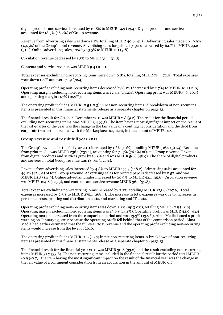digital products and services increased by 10.8% to MEUR 14.9 (13.4). Digital products and services accounted for 18.3% (16.2%) of Group revenue.

Revenue from advertising sales was down 1.1%, totalling MEUR 40.6 (41.1). Advertising sales made up 49.9% (49.5%) of the Group's total revenue. Advertising sales for printed papers decreased by 6.0% to MEUR 29.2  $(31.1)$ . Online advertising sales grew by  $13.5\%$  to MEUR 11.1  $(9.8)$ .

Circulation revenue decreased by 1.5% to MEUR 31.4 (31.8).

Contents and service revenue was MEUR 9.4 (10.2).

Total expenses excluding non-recurring items were down 0.8%, totalling MEUR 71.4 (72.0). Total expenses were down 0.7% and were 71.9 (72.4).

Operating profit excluding non-recurring items decreased by 8.1% (decreased by 2.7%) to MEUR 10.1 (11.0). Operating margin excluding non-recurring items was 12.4% (13.2%). Operating profit was MEUR 9.6 (10.7) and operating margin 11.7% (12.9%).

The operating profit includes MEUR -0.5 (-0.3) in net non-recurring items. A breakdown of non-recurring items is presented in this financial statements release as a separate chapter on page 13.

The financial result for October–December 2011 was MEUR 2.8 (9.2). The result for the financial period, excluding non-recurring items, was MEUR 3.4 (9.5). The item having most signifigant impact on the result of the last quarter of the year was the change in the fair value of a contingent consideration and the debt from corporate transactions related with the Marketplaces segment, in the amount of MEUR -2.9.

## **Group revenue and result full year 2011**

The Group's revenue for the full year 2011 increased by 1.6% (1.1%), totalling MEUR 316.2 (311.4). Revenue from print media was MEUR 236.1 (237.1), accounting for 74.7% (76.1%) of total Group revenue. Revenue from digital products and services grew by 16.3% and was MEUR 56.8 (48.9). The share of digital products and services in total Group revenue was 18.0% (15.7%).

Revenue from advertising sales increased by 4.8% to MEUR 155.3 (148.2). Advertising sales accounted for 49.1% (47.6%) of total Group revenue. Advertising sales for printed papers decreased by 0.5% and was MEUR 111.3 (111.9). Online advertising sales increased by 20.9% to MEUR 43.1 (35.6). Circulation revenue was MEUR 124.8 (125.3), and contents and service revenue MEUR 36.1 (37.8).

Total expenses excluding non-recurring items increased by 2.2%, totalling MEUR 273.6 (267.6). Total expenses increased by 2.5% to MEUR 275.1 (268.4). The increase in total expenses was due to increases in personnel costs, printing and distribution costs, and marketing and IT costs.

Operating profit excluding non-recurring items was down 2.2% (up 3.0%), totalling MEUR 42.9 (43.9). Operating margin excluding non-recurring items was 13.6% (14.1%). Operating profit was MEUR 42.0 (43.4). Operating margin decreased from the comparison period and was 13.3% (13.9%). Alma Media issued a profit warning on January 13, 2012 because the operating profit fell behind that of the comparison period. Alma Media had earlier estimated that the full-year 2011 revenue and the operating profit excluding non-recurring items would increase from the level of 2010.

The operating profit includes MEUR -1.0 (-0.5) in net non-recurring items. A breakdown of non-recurring items is presented in this financial statements release as a separate chapter on page 13.

The financial result for the financial year 2011 was MEUR 30.8 (33.2) and the result excluding non-recurring items MEUR 31.7 (33.8). The non-recurring items included in the financial result for the period total MEUR -0.9 (-0.7). The item having the most significant impact on the result of the financial year was the change in the fair value of a contingent consideration from an acquisition in the amount of MEUR -1.7.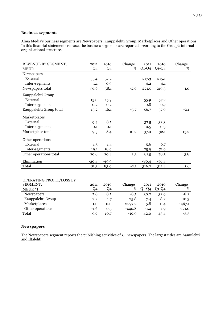## **Business segments**

Alma Media's business segments are Newspapers, Kauppalehti Group, Marketplaces and Other operations. In this financial statements release, the business segments are reported according to the Group's internal organisational structure.

| REVENUE BY SEGMENT,      | 2011           | 2010           | Change   | 2011    | 2010    | Change   |
|--------------------------|----------------|----------------|----------|---------|---------|----------|
| <b>MEUR</b>              | Q <sub>4</sub> | Q <sub>4</sub> | %        | $Q1-Q4$ | $Q1-Q4$ | %        |
| Newspapers               |                |                |          |         |         |          |
| External                 | 55.4           | 57.2           |          | 217.3   | 215.1   |          |
| Inter-segments           | 1.1            | 0.9            |          | 4.2     | 4.1     |          |
| Newspapers total         | 56.6           | 58.1           | $-2.6$   | 221.5   | 219.3   | 1.0      |
| Kauppalehti Group        |                |                |          |         |         |          |
| External                 | 15.0           | 15.9           |          | 55.9    | 57.2    |          |
| Inter-segments           | 0.2            | 0.2            |          | 0.8     | 0.7     |          |
| Kauppalehti Group total  | 15.2           | 16.1           | $-5.7$   | 56.7    | 57.9    | $-2.1$   |
| Marketplaces             |                |                |          |         |         |          |
| External                 | 9.4            | 8.5            |          | 37.5    | 32.3    |          |
| Inter-segments           | $-0.1$         | $-0.1$         |          | $-0.5$  | $-0.3$  |          |
| Marketplace total        | 9.3            | 8.4            | 10.2     | 37.0    | 32.1    | 15.2     |
| Other operations         |                |                |          |         |         |          |
| External                 | 1.5            | 1.4            |          | 5.6     | 6.7     |          |
| Inter-segments           | 19.1           | 18.9           |          | 75.9    | 71.9    |          |
| Other operations total   | 20.6           | 20.4           | 1.3      | 81.5    | 78.5    | 3.8      |
| Elimination              | $-20.4$        | $-19.9$        |          | $-80.4$ | $-76.4$ |          |
| Total                    | 81.3           | 83.0           | $-2.1$   | 316.2   | 311.4   | 1.6      |
|                          |                |                |          |         |         |          |
| OPERATING PROFIT/LOSS BY |                |                |          |         |         |          |
| SEGMENT,                 | 2011           | 2010           | Change   | 2011    | 2010    | Change   |
| $MEUR^*$                 | Q <sub>4</sub> | Q <sub>4</sub> | %        | $Q1-Q4$ | $Q1-Q4$ | %        |
| Newspapers               | 7.8            | 8.5            | $-8.5$   | 30.2    | 32.9    | $-8.2$   |
| Kauppalehti Group        | 2.2            | 1.7            | 25.8     | 7.4     | 8.2     | $-10.3$  |
| Marketplaces             | 1.0            | 0.0            | 2297.2   | 5.8     | 0.4     | 1467.1   |
| Other operations         | $-1.6$         | 0.5            | $-440.8$ | $-1.4$  | 1.9     | $-171.0$ |
| Total                    | 9.6            | 10.7           | $-10.9$  | 42.0    | 43.4    | $-3.3$   |

## **Newspapers**

The Newspapers segment reports the publishing activities of 34 newspapers. The largest titles are Aamulehti and Iltalehti.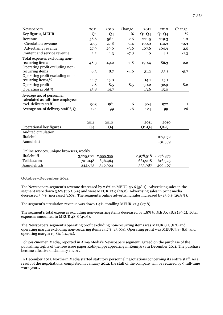| Newspapers                               | 2011           | 2010                    | Change | 2011    | 2010                | Change |
|------------------------------------------|----------------|-------------------------|--------|---------|---------------------|--------|
| Key figures, MEUR                        | Q <sub>4</sub> | Q <sub>4</sub>          | %      | $Q1-Q4$ | $Q1-Q4$             | %      |
| Revenue                                  | 56.6           | 58.1                    | $-2.6$ | 221.5   | 219.3               | 1.0    |
| Circulation revenue                      | 27.5           | 27.8                    | $-1.4$ | 109.9   | 110.3               | $-0.3$ |
| Advertising revenue                      | 27.9           | 29.0                    | $-3.6$ | 107.6   | 104.9               | 2.5    |
| Content and service revenue              | 1.2            | 1.3                     | $-7.8$ | 4.0     | 4.1                 | $-1.3$ |
| Total expenses excluding non-            |                |                         |        |         |                     |        |
| recurring items                          | 48.3           | 49.2                    | $-1.8$ | 190.4   | 186.3               | 2.2    |
| Operating profit excluding non-          |                |                         |        |         |                     |        |
| recurring items                          | 8.3            | 8.7                     | $-4.6$ | 31.2    | 33.1                | $-5.7$ |
| Operating profit excluding non-          |                |                         |        |         |                     |        |
| recurring items,%                        | 14.7           | 15.0                    |        | 14.1    | 15.1                |        |
| Operating profit                         | 7.8            | 8.5                     | $-8.5$ | 30.2    | 32.9                | $-8.2$ |
| Operating profit,%                       | 13.8           | 14.7                    |        | 13.6    | 15.0                |        |
| Average no. of personnel,                |                |                         |        |         |                     |        |
| calculated as full-time employees        |                |                         |        |         |                     |        |
| excl. delivery staff                     | 903            | 961                     | -6     | 964     | 972                 | $-1$   |
| Average no. of delivery staff *, Q       | 124            | 99                      | 26     | 124     | 99                  | 26     |
|                                          |                |                         |        |         |                     |        |
|                                          | 2011           | 2010                    |        | 2011    | 2010                |        |
| Operational key figures                  | Q <sub>4</sub> | Q4                      |        | $Q1-Q4$ | $Q1-Q4$             |        |
| Audited circulation                      |                |                         |        |         |                     |        |
| Iltalehti                                |                |                         |        |         | 107,052             |        |
| Aamulehti                                |                |                         |        |         | 131,539             |        |
|                                          |                |                         |        |         |                     |        |
| Online services, unique browsers, weekly |                |                         |        |         |                     |        |
| Iltalehti.fi                             |                | 3, 275, 072 2, 555, 355 |        |         | 2,978,518 2,276,375 |        |
| Telkku.com                               | 701,048        | 636,464                 |        | 661,908 | 616,325             |        |
| Aamulehti.fi                             | 342,673        | 346,903                 |        | 333,987 | 299,467             |        |

### **October–December 2011**

The Newspapers segment's revenue decreased by 2.6% to MEUR 56.6 (58.1). Advertising sales in the segment were down 3.6% (up 5.6%) and were MEUR 27.9 (29.0). Advertising sales in print media decreased 5.9% (increased 3.6%). The segment's online advertising sales increased by 15.6% (26.8%).

The segment's circulation revenue was down 1.4%, totalling MEUR 27.5 (27.8).

The segment's total expenses excluding non-recurring items decreased by 1.8% to MEUR 48.3 (49.2). Total expenses amounted to MEUR 48.8 (49.6).

The Newspapers segment's operating profit excluding non-recurring items was MEUR 8.3 (8.7) and operating margin excluding non-recurring items 14.7% (15.0%). Operating profit was MEUR 7.8 (8.5) and operating margin 13.8% (14.7%).

Pohjois-Suomen Media, reported in Alma Media's Newspapers segment, agreed on the purchase of the publishing rights of the free issue paper Kotikymppi appearing in Kemijärvi in December 2011. The purchase became effective on January 1, 2012.

In December 2011, Northern Media started statutory personnel negotiations concerning its entire staff. As a result of the negotiations, completed in January 2012, the staff of the company will be reduced by 9 full-time work years.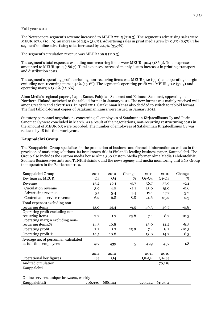#### **Full year 2011**

The Newspapers segment's revenue increased to MEUR 221.5 (219.3). The segment's advertising sales were MEUR 107.6 (104.9), an increase of 2.5% (3.6%). Advertising sales in print media grew by 0.3% (0.9%). The segment's online advertising sales increased by 22.7% (35.7%).

The segment's circulation revenue was MEUR 109.9 (110.3).

The segment's total expenses excluding non-recurring items were MEUR 190.4 (186.3). Total expenses amounted to MEUR 191.4 (186.7). Total expenses increased mainly due to increases in printing, transport and distribution costs.

The segment's operating profit excluding non-recurring items was MEUR 31.2 (33.1) and operating margin excluding non-recurring items 14.1% (15.1%). The segment's operating profit was MEUR 30.2 (32.9) and operating margin 13.6% (15.0%).

Alma Media's regional papers, Lapin Kansa, Pohjolan Sanomat and Kainuun Sanomat, appearing in Northern Finland, switched to the tabloid format in January 2011. The new format was mainly received well among readers and advertisers. In April 2011, Satakunnan Kansa also decided to switch to tabloid format. The first tabloid-format copies of Satakunnan Kansa were issued in January 2012.

Statutory personnel negotiations concerning all employees of Satakunnan Kirjateollisuus Oy and Porin Sanomat Oy were concluded in March. As a result of the negotiations, non-recurring restructuring costs in the amount of MEUR 0.5 were recorded. The number of employees of Satakunnan Kirjateollisuus Oy was reduced by 18 full-time work years.

## **Kauppalehti Group**

The Kauppalehti Group specialises in the production of business and financial information as well as in the provision of marketing solutions. Its best known title is Finland's leading business paper, Kauppalehti. The Group also includes the custom media house Alma 360 Custom Media (former Alma Media Lehdentekijät, Suomen Businessviestintä and TTNK Helsinki), and the news agency and media monitoring unit BNS Group that operates in the Baltic countries.

| Kauppalehti Group                        | 2011           | 2010           | Change | 2011    | 2010    | Change  |
|------------------------------------------|----------------|----------------|--------|---------|---------|---------|
| Key figures, MEUR                        | Q4             | Q <sub>4</sub> | %      | $Q1-Q4$ | $Q1-Q4$ | %       |
| Revenue                                  | 15.2           | 16.1           | $-5.7$ | 56.7    | 57.9    | $-2.1$  |
| Circulation revenue                      | 3.9            | 4.0            | $-2.1$ | 15.0    | 15.0    | $-0.6$  |
| Advertising revenue                      | 5.1            | 5.4            | $-4.4$ | 17.1    | 17.7    | $-3.2$  |
| Content and service revenue              | 6.2            | 6.8            | $-8.8$ | 24.6    | 25.2    | $-2.3$  |
| Total expenses excluding non-            |                |                |        |         |         |         |
| recurring items                          | 13.0           | 14.4           | $-9.5$ | 49.3    | 49.7    | -0.8    |
| Operating profit excluding non-          |                |                |        |         |         |         |
| recurring items                          | 2.2            | 1.7            | 25.8   | 7.4     | 8.2     | $-10.3$ |
| Operating margin excluding non-          |                |                |        |         |         |         |
| recurring items,%                        | 14.5           | 10.8           |        | 13.0    | 14.2    | $-8.3$  |
| Operating profit                         | 2.2            | 1.7            | 25.8   | 7.4     | 8.2     | $-10.3$ |
| Operating profit,%                       | 14.5           | 10.8           |        | 13.0    | 14.2    | $-8.3$  |
| Average no. of personnel, calculated     |                |                |        |         |         |         |
| as full-time employees                   | 417            | 439            | -5     | 429     | 437     | $-1.8$  |
|                                          |                |                |        |         |         |         |
|                                          | 2011           | 2010           |        | 2011    | 2010    |         |
| Operational key figures                  | Q <sub>4</sub> | Q <sub>4</sub> |        | $Q1-Q4$ | $Q1-Q4$ |         |
| Audited circulation                      |                |                |        |         | 70,118  |         |
| Kauppalehti                              |                |                |        |         |         |         |
|                                          |                |                |        |         |         |         |
| Online services, unique browsers, weekly |                |                |        |         |         |         |

Kauppalehti.fi 706,930 688,144 729,742 615,354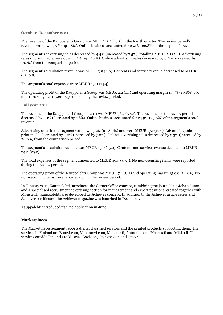#### **October–December 2011**

The revenue of the Kauppalehti Group was MEUR 15.2 (16.1) in the fourth quarter. The review period's revenue was down 5.7% (up 1.8%). Online business accounted for 25.1% (22.8%) of the segment's revenue.

The segment's advertising sales decreased by 4.4% (increased by 7.5%), totalling MEUR 5.1 (5.4). Advertising sales in print media were down 4.3% (up 12.1%). Online advertising sales decreased by 6.9% (increased by 13.7%) from the comparison period.

The segment's circulation revenue was MEUR 3.9 (4.0). Contents and service revenue decreased to MEUR 6.2 (6.8).

The segment's total expenses were MEUR 13.0 (14.4).

The operating profit of the Kauppalehti Group was MEUR 2.2 (1.7) and operating margin 14.5% (10.8%). No non-recurring items were reported during the review period.

**Full year 2011**

The revenue of the Kauppalehti Group in 2011 was MEUR 56.7 (57.9). The revenue for the review period decreased by 2.1% (decreased by 7.8%). Online business accounted for 24.9% (23.6%) of the segment's total revenue.

Advertising sales in the segment was down 3.2% (up 8.0%) and were MEUR 17.1 (17.7). Advertising sales in print media decreased by 4.0% (increased by 7.8%). Online advertising sales decreased by 2.3% (increased by 28.0%) from the comparison period.

The segment's circulation revenue was MEUR 15.0 (15.0). Contents and service revenue declined to MEUR 24.6 (25.2).

The total expenses of the segment amounted to MEUR 49.3 (49.7). No non-recurring items were reported during the review period.

The operating profit of the Kauppalehti Group was MEUR 7.4 (8.2) and operating margin 13.0% (14.2%). No non-recurring items were reported during the review period.

In January 2011, Kauppalehti introduced the Corner Office concept, combining the journalistic Jobs column and a specialised recruitment advertising section for management and expert positions, created together with Monster.fi. Kauppalehti also developed its Achiever concept. In addition to the Achiever article series and Achiever certificates, the Achiever magazine was launched in December.

Kauppalehti introduced its iPad application in June.

### **Marketplaces**

The Marketplaces segment reports digital classified services and the printed products supporting them. The services in Finland are Etuovi.com, Vuokraovi.com, Monster.fi, Autotalli.com, Mascus.fi and Mikko.fi. The services outside Finland are Mascus, Bovision, Objektvision and City24.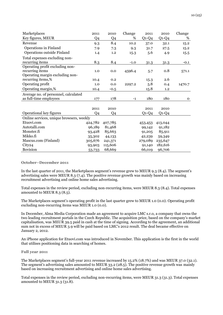| Marketplaces                             | 2011           | 2010           | Change | 2011    | 2010    | Change      |
|------------------------------------------|----------------|----------------|--------|---------|---------|-------------|
| Key figures, MEUR                        | Q <sub>4</sub> | Q <sub>4</sub> | %      | $Q1-Q4$ | $Q1-Q4$ | %           |
| Revenue                                  | 9.3            | 8.4            | 10.2   | 37.0    | 32.1    | 15.2        |
| Operations in Finland                    | 7.9            | 7.3            | 9.3    | 31.7    | 27.5    | 15.2        |
| Operations outside Finland               | 1.4            | 1.2            | 15.3   | 5.6     | 4.9     | 15.5        |
| Total expenses excluding non-            |                |                |        |         |         |             |
| recurring items                          | 8.3            | 8.4            | $-1.0$ | 31.3    | 31.3    | $-0.1$      |
| Operating profit excluding non-          |                |                |        |         |         |             |
| recurring items                          | 1.0            | 0.0            | 4596.4 | 5.7     | 0.8     | 571.1       |
| Operating margin excluding non-          |                |                |        |         |         |             |
| recurring items,%                        | 10.4           | 0.2            |        | 15.3    | 2.6     |             |
| Operating profit                         | 1.0            | 0.0            | 2297.2 | 5.8     | 0.4     | 1470.7      |
| Operating margin,%                       | 10.4           | $-0.5$         |        | 15.8    | 1.2     |             |
| Average no. of personnel, calculated     |                |                |        |         |         |             |
| as full-time employees                   | 177            | 178            | $-1$   | 180     | 180     | $\mathbf 0$ |
|                                          |                |                |        |         |         |             |
|                                          | 2011           | 2010           |        | 2011    | 2010    |             |
| Operational key figures                  | Q <sub>4</sub> | Q4             |        | $Q1-Q4$ | $Q1-Q4$ |             |
| Online services, unique browsers, weekly |                |                |        |         |         |             |
| Etuovi.com                               | 424,782        | 407,785        |        | 453,453 | 413,044 |             |
| Autotalli.com                            | 96,189         | 81,468         |        | 99,142  | 91,182  |             |
| Monster.fi                               | 93,428         | 85,663         |        | 91,205  | 85,911  |             |
| Mikko.fi                                 | 35,302         | 44,133         |        | 42,239  | 59,349  |             |
| Mascus.com (Finland)                     | 305,676        | 241,371        |        | 279,089 | 235,647 |             |
| City24                                   | 93,903         | 115,606        |        | 91,140  | 182,616 |             |
| <b>Bovision</b>                          | 53,733         | 68,669         |        | 66,019  | 96,706  |             |

#### **October–December 2011**

In the last quarter of 2011, the Marketplaces segment's revenue grew to MEUR 9.3 (8.4). The segment's advertising sales were MEUR 8.3 (7.4). The positive revenue growth was mainly based on increasing recruitment advertising and online home sales advertising.

Total expenses in the review period, excluding non-recurring items, were MEUR 8.3 (8.4). Total expenses amounted to MEUR 8.3 (8.5).

The Marketplaces segment's operating profit in the last quarter grew to MEUR 1.0 (0.0). Operating profit excluding non-recurring items was MEUR 1.0 (0.0).

In December, Alma Media Corporation made an agreement to acquire LMC s.r.o, a company that owns the two leading recruitment portals in the Czech Republic. The acquisition price, based on the company's market capitalisation, was MEUR 39.5 paid in cash at the time of signing. According to the agreement, an additional sum not in excess of MEUR 3.9 will be paid based on LMC's 2012 result. The deal became effective on January 2, 2012.

An iPhone application for Etuovi.com was introduced in November. This application is the first in the world that utilises positioning data in searching of homes.

#### **Full year 2011**

The Marketplaces segment's full-year 2011 revenue increased by 15.2% (18.7%) and was MEUR 37.0 (32.1). The segment's advertising sales amounted to MEUR 33.2 (28.5). The positive revenue growth was mainly based on increasing recruitment advertising and online home sales advertising.

Total expenses in the review period, excluding non-recurring items, were MEUR 31.3 (31.3). Total expenses amounted to MEUR 31.3 (31.8).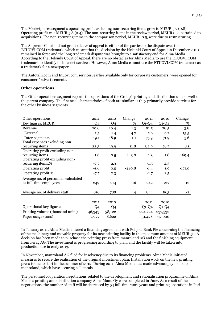The Marketplaces segment's operating profit excluding non-recurring items grew to MEUR 5.7 (0.8). Operating profit was MEUR 5.8 (0.4). The non-recurring items in the review period, MEUR 0.2, pertained to acquisitions. The non-recurring items in the comparison period, MEUR -0.5, were due to restructuring.

The Supreme Court did not grant a leave of appeal to either of the parties to the dispute over the ETUOVI.COM trademark, which meant that the decision by the Helsinki Court of Appeal in December 2010 remained in force and the long trademark dispute was brought to a satisfactory end for Alma Media. According to the Helsinki Court of Appeal, there are no obstacles for Alma Media to use the ETUOVI.COM trademark to identify its internet services. However, Alma Media cannot use the ETUOVI.COM trademark as a trademark for a newspaper.

The Autotalli.com and Etuovi.com services, earlier available only for corporate customers, were opened for consumers' advertisements.

### **Other operations**

The Other operations segment reports the operations of the Group's printing and distribution unit as well as the parent company. The financial characteristics of both are similar as they primarily provide services for the other business segments.

| Other operations                     | 2011    | 2010           | Change   | 2011    | 2010    | Change   |
|--------------------------------------|---------|----------------|----------|---------|---------|----------|
| Key figures, MEUR                    | Q4      | Q <sub>4</sub> | %        | $Q1-Q4$ | $Q1-Q4$ | %        |
| Revenue                              | 20.6    | 20.4           | 1.3      | 81.5    | 78.5    | 3.8      |
| External                             | $1.5\,$ | 1.4            | 4.7      | 5.6     | 6.7     | $-15.5$  |
| Inter-segments                       | 19.1    | 18.9           | 1.1      | 75.9    | 71.9    | 5.6      |
| Total expenses excluding non-        |         |                |          |         |         |          |
| recurring items                      | 22.3    | 19.9           | 11.8     | 82.9    | 76.7    | 8.1      |
| Operating profit excluding non-      |         |                |          |         |         |          |
| recurring items                      | $-1.6$  | 0.5            | $-443.8$ | $-1.3$  | 1.8     | $-169.4$ |
| Operating profit excluding non-      |         |                |          |         |         |          |
| recurring items,%                    | $-7.7$  | 2.3            |          | $-1.5$  | 2.3     |          |
| Operating profit                     | $-1.6$  | 0.5            | $-440.8$ | $-1.4$  | 1.9     | $-171.0$ |
| Operating profit,%                   | $-7.7$  | 2.3            |          | $-1.7$  | 2.5     |          |
| Average no. of personnel, calculated |         |                |          |         |         |          |
| as full-time employees               | 249     | 214            | 16       | 242     | 217     | 12       |
|                                      |         |                |          |         |         |          |
| Average no. of delivery staff        | 816     | 788            | 4        | 844     | 863     | $-2$     |
|                                      |         |                |          |         |         |          |
|                                      | 2011    | 2010           |          | 2011    | 2010    |          |
| Operational key figures              | Q4      | Q4             |          | $Q1-Q4$ | $Q1-Q4$ |          |
| Printing volume (thousand units)     | 46,343  | 58,122         |          | 224,724 | 237,532 |          |
| Paper usage (tons)                   | 7,927   | 8,622          |          | 31,428  | 32,000  |          |

In January 2011, Alma Media entered a financing agreement with Pohjola Bank Plc concerning the financing of the machinery and movable property for its new printing facility in the maximum amount of MEUR 50. A decision has been made to purchase the printing press from manroland AG and the finishing equipment from Ferag AG. The investment is progressing according to plan, and the facility will be taken into production use in early 2013.

In November, manroland AG filed for insolvency due to its financing problems. Alma Media initiated measures to secure the realisation of the original investment plan. Installation work on the new printing press is due to start in the summer of 2012. During 2011, Alma Media has made advance payments to manroland, which have securing collaterals.

The personnel cooperation negotiations related to the development and rationalisation programme of Alma Media's printing and distribution company Alma Manu Oy were completed in June. As a result of the negotiations, the number of staff will be decreased by 54 full-time work years and printing operations in Pori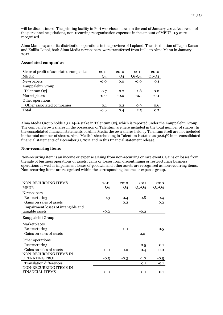will be discontinued. The printing facility in Pori was closed down in the end of January 2012. As a result of the personnel negotiations, non-recurring reorganisation expenses in the amount of MEUR 0.5 were recognised.

Alma Manu expands its distribution operations in the province of Lapland. The distribution of Lapin Kansa and Koillis-Lappi, both Alma Media newspapers, were transferred from Itella to Alma Manu in January 2012.

### **Associated companies**

| Share of profit of associated companies | 2011   | 2010   | 2011    | 2010    |
|-----------------------------------------|--------|--------|---------|---------|
| <b>MEUR</b>                             | Q4     | Q4     | $O1-O4$ | $Q1-Q4$ |
| <b>Newspapers</b>                       | $-0.0$ | 0.0    | $-0.0$  | 0.1     |
| Kauppalehti Group                       |        |        |         |         |
| Talentum Oyj                            | $-0.7$ | 0.2    | 1.8     | 0.0     |
| Marketplaces                            | $-0.0$ | $-0.0$ | $-0.1$  | $-0.1$  |
| Other operations                        |        |        |         |         |
| Other associated companies              | 0.1    | 0.2    | 0.9     | 0.6     |
| Total                                   | $-0.6$ | 0.4    | 2.5     | 0.7     |

Alma Media Group holds a 32.14-% stake in Talentum Oyj, which is reported under the Kauppalehti Group. The company's own shares in the possession of Talentum are here included in the total number of shares. In the consolidated financial statements of Alma Media the own shares held by Talentum itself are not included in the total number of shares. Alma Media's shareholding in Talentum is stated as 32.64% in its consolidated financial statements of December 31, 2011 and in this financial statement release.

### **Non-recurring items**

Non-recurring item is an income or expense arising from non-recurring or rare events. Gains or losses from the sale of business operations or assets, gains or losses from discontinuing or restructuring business operations as well as impairment losses of goodwill and other assets are recognised as non-recurring items. Non-recurring items are recognised within the corresponding income or expense group.

| <b>NON-RECURRING ITEMS</b>          | 2011           | 2010   | 2011    | 2010    |
|-------------------------------------|----------------|--------|---------|---------|
| <b>MEUR</b>                         | Q <sub>4</sub> | Q4     | $Q1-Q4$ | $Q1-Q4$ |
| Newspapers                          |                |        |         |         |
| Restructuring                       | $-0.3$         | $-0.4$ | $-0.8$  | $-0.4$  |
| Gains on sales of assets            |                | 0.2    |         | 0.2     |
| Impairment losses of intangible and |                |        |         |         |
| tangible assets                     | $-0.2$         |        | $-0.2$  |         |
| Kauppalehti Group                   |                |        |         |         |
| Marketplaces                        |                |        |         |         |
| Restructuring                       |                | $-0.1$ |         | $-0.5$  |
| Gains on sales of assets            |                |        | 0,2     |         |
| Other operations                    |                |        |         |         |
| Restructuring                       |                |        | $-0.5$  | 0.1     |
| Gains on sales of assets            | 0.0            | 0.0    | 0.4     | 0.0     |
| NON-RECURRING ITEMS IN              |                |        |         |         |
| <b>OPERATING PROFIT</b>             | $-0.5$         | $-0.3$ | $-1.0$  | $-0.5$  |
| <b>Translation differences</b>      |                |        | 0.1     | $-0.1$  |
| NON-RECURRING ITEMS IN              |                |        |         |         |
| <b>FINANCIAL ITEMS</b>              | 0.0            |        | 0.1     | $-0.1$  |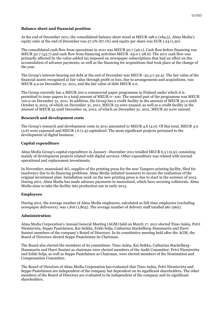## **Balance sheet and financial position**

At the end of December 2011, the consolidated balance sheet stood at MEUR 198.0 (184.5). Alma Media's equity ratio at the end of December was 57.0% (67.1%) and equity per share was EUR 1.24 (1.50).

The consolidated cash flow from operations in 2011 was MEUR 50.7 (46.1). Cash flow before financing was MEUR 50.7 (43.7) and cash flow from financing activities MEUR -29.0 (-28.6). The 2011 cash flow was primarily affected by the value-added tax imposed on newspaper subscriptions that had an effect on the accumulation of advance payments, as well as the financing for acquisitions that took place at the change of the year.

The Group's interest-bearing net debt at the end of December was MEUR -32.3 (-32.4). The fair value of the financial assets recognised at fair value through profit or loss, due to arrangements and acquisitions, was MEUR 4.9 on December 31, 2011, and the fair value of debt MEUR 2.0.

The Group currently has a MEUR 100.0 commercial paper programme in Finland under which it is permitted to issue papers to a total amount of MEUR 0–100. The unused part of the programme was MEUR 100.0 on December 31, 2011. In addition, the Group has a credit facility in the amount of MEUR 30.0 until October 9, 2013, of which on December 31, 2011, MEUR 23 were unused, as well as a credit facility in the amount of MEUR 35 until December 19, 2012, of which on December 31, 2011, MEUR 20 were unused.

### **Research and development costs**

The Group's research and development costs in 2011 amounted to MEUR 4.6 (4.0). Of this total, MEUR 3.0 (2.6) were expensed and MEUR 1.6 (1.4) capitalised. The most significant projects pertained to the development of digital business.

### **Capital expenditure**

Alma Media Group's capital expenditure in January–December 2011 totalled MEUR 6.3 (12.9), consisting mainly of development projects related with digital services. Other expenditure was related with normal operational and replacement investments.

In November, manroland AG, supplier of the printing press for the new Tampere printing facility, filed for insolvency due to its financing problems. Alma Media initiated measures to secure the realisation of the original investment plan. Installation work on the new printing press is due to start in the summer of 2012. During 2011, Alma Media has made advance payments to manroland, which have securing collaterals. Alma Media aims to take the facility into production use in early 2013.

### **Employees**

During 2011, the average number of Alma Media employees, calculated as full-time employees (excluding newspaper deliverers), was 1,816 (1,805). The average number of delivery staff totalled 961 (962).

### **Administration**

Alma Media Corporation's Annual General Meeting (AGM) held on March 17. 2011 elected Timo Aukia, Petri Niemisvirta, Seppo Paatelainen, Kai Seikku, Erkki Solja, Catharina Stackelberg-Hammarén and Harri Suutari members of the company's Board of Directors. In its constitutive meeting held after the AGM, the Board of Directors elected Seppo Paatelainen its Chairman.

The Board also elected the members of its committees. Timo Aukia, Kai Seikku, Catharina Stackelberg-Hammarén and Harri Suutari as chairman were elected members of the Audit Committee. Petri Niemisvirta and Erkki Solja, as well as Seppo Paatelainen as Chairman, were elected members of the Nomination and Compensation Committee.

The Board of Directors of Alma Media Corporation has evaluated that Timo Aukia, Petri Niemisvirta and Seppo Paatelainen are independent of the company but dependent on its significant shareholders. The other members of the Board of Directors are evaluated to be independent of the company and its significant shareholders.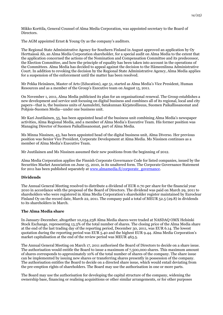Mikko Korttila, General Counsel of Alma Media Corporation, was appointed secretary to the Board of Directors.

The AGM appointed Ernst & Young Oy as the company's auditors.

The Regional State Administrative Agency for Southern Finland in August approved an application by Oy Herttaässä Ab, an Alma Media Corporation shareholder, for a special audit on Alma Media to the extent that the application concerned the actions of the Nomination and Compensation Committee and its predecessor, the Election Committee, and how the principle of equality has been taken into account in the operations of the Committees. Alma Media has decided to appeal against the decision to the Hämeenlinna Administrative Court. In addition to revoking the decision by the Regional State Administrative Agency, Alma Media applies for a suspension of the enforcement until the matter has been resolved.

Mr Pekka Heinänen, Master of Arts (Education), age 51, started as Alma Media's Vice President, Human Resources and as a member of the Group's Executive team on August 15, 2011.

On November 1, 2011, Alma Media publicised its plan for an organisational renewal. The Group establishes a new development and service unit focusing on digital business and combines all of its regional, local and city papers—that is, the business units of Aamulehti, Satakunnan Kirjateollisuus, Suomen Paikallissanomat and Pohjois-Suomen Media—under one business unit.

Mr Kari Juutilainen, 55, has been appointed head of the business unit combining Alma Media's newspaper activities, Alma Regional Media, and a member of Alma Media's Executive Team. His former position was Managing Director of Suomen Paikallissanomat, part of Alma Media.

Ms Minna Nissinen, 43, has been appointed head of the digital business unit, Alma Diverso. Her previous position was Senior Vice President, Corporate Development at Alma Media. Ms Nissinen continues as a member of Alma Media's Executive Team.

Mr Juutilainen and Ms Nissinen assumed their new positions from the beginning of 2012.

Alma Media Corporation applies the Finnish Corporate Governance Code for listed companies, issued by the Securities Market Association on June 15, 2010, in its unaltered form. The Corporate Governance Statement for 2011 has been published separately at [www.almamedia.fi/corporate\\_governance.](http://www.almamedia.fi/corporate_governance) 

## **Dividends**

The Annual General Meeting resolved to distribute a dividend of EUR 0.70 per share for the financial year 2010 in accordance with the proposal of the Board of Directors. The dividend was paid on March 29, 2011 to shareholders who were registered in Alma Media Corporation's shareholder register maintained by Euroclear Finland Oy on the record date, March 22, 2011. The company paid a total of MEUR 52.5 (29.8) in dividends to its shareholders in March.

## **The Alma Media share**

In January-December, altogether 10,034,238 Alma Media shares were traded at NASDAQ OMX Helsinki Stock Exchange, representing 13.3% of the total number of shares. The closing price of the Alma Media share at the end of the last trading day of the reporting period, December 30, 2011, was EUR 6.14. The lowest quotation during the reporting period was EUR 5.40 and the highest EUR 9.44. Alma Media Corporation's market capitalisation at the end of the review period was MEUR 463.5.

The Annual General Meeting on March 17, 2011 authorised the Board of Directors to decide on a share issue. The authorisation would entitle the Board to issue a maximum of 7,500,000 shares. This maximum amount of shares corresponds to approximately 10% of the total number of shares of the company. The share issue can be implemented by issuing new shares or transferring shares presently in possession of the company. The authorisation entitles the Board to decide on a directed share issue, which would entail deviating from the pre-emption rights of shareholders. The Board may use the authorisation in one or more parts.

The Board may use the authorisation for developing the capital structure of the company, widening the ownership base, financing or realising acquisitions or other similar arrangements, or for other purposes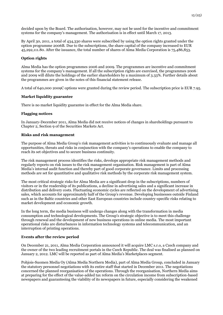decided upon by the Board. The authorisation, however, may not be used for the incentive and commitment systems for the company's management. The authorisation is in effect until March 17, 2013.

By April 30, 2011, a total of 434,330 shares were subscribed by using the option rights granted under the option programme 2006B. Due to the subscriptions, the share capital of the company increased to EUR 45,292,111.80. After the issuance, the total number of shares of Alma Media Corporation is 75,486,853.

## **Option rights**

Alma Media has the option programmes 2006 and 2009. The programmes are incentive and commitment systems for the company's management. If all the subscription rights are exercised, the programmes 2006 and 2009 will dilute the holdings of the earlier shareholders by a maximum of 3.33%. Further details about the programmes are given in the notes of this financial statement release.

A total of 640,000 2009C options were granted during the review period. The subscription price is EUR 7.95.

## **Market liquidity guarantee**

There is no market liquidity guarantee in effect for the Alma Media share.

# **Flagging notices**

In January-December 2011, Alma Media did not receive notices of changes in shareholdings pursuant to Chapter 2, Section 9 of the Securities Markets Act.

## **Risks and risk management**

The purpose of Alma Media Group's risk management activities is to continuously evaluate and manage all opportunities, threats and risks in conjunction with the company's operations to enable the company to reach its set objectives and to secure business continuity.

The risk management process identifies the risks, develops appropriate risk management methods and regularly reports on risk issues to the risk management organisation. Risk management is part of Alma Media's internal audit function and thereby part of good corporate governance. Limits and processing methods are set for quantitative and qualitative risk methods by the corporate risk management system.

The most critical strategic risks for Alma Media are a significant drop in the subscriptions, numbers of visitors or in the readership of its publications, a decline in advertising sales and a significant increase in distribution and delivery costs. Fluctuating economic cycles are reflected on the development of advertising sales, which accounts for approximately half of the Group's revenue. Developing businesses outside Finland such as in the Baltic countries and other East European countries include country-specific risks relating to market development and economic growth.

In the long term, the media business will undergo changes along with the transformation in media consumption and technological developments. The Group's strategic objective is to meet this challenge through renewal and the development of new business operations in online media. The most important operational risks are disturbances in information technology systems and telecommunication, and an interruption of printing operations.

## **Events after the review period**

On December 21, 2011, Alma Media Corporation announced it will acquire LMC s.r.o, a Czech company and the owner of the two leading recruitment portals in the Czech Republic. The deal was finalised as planned on January 2, 2012. LMC will be reported as part of Alma Media's Marketplaces segment.

Pohjois-Suomen Media Oy (Alma Media Northern Media), part of Alma Media Group, concluded in January the statutory personnel negotiations with its entire staff that started in December 2011. The negotiations concerned the planned reorganisation of the operations. Through the reorganisation, Northern Media aims at preparing for the effect of the value-added tax reform on the circulation income from subscription-based newspapers and guaranteeing the viability of its newspapers in future, especially considering the weakened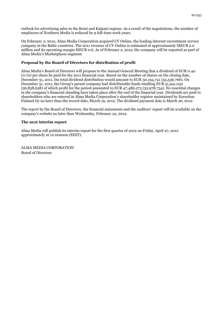outlook for advertising sales in the Kemi and Kajaani regions. As a result of the negotiations, the number of employees of Northern Media is reduced by 9 full-time work years.

On February 2, 2012, Alma Media Corporation acquired CV Online, the leading internet recruitment service company in the Baltic countries. The 2011 revenue of CV Online is estimated at approximately MEUR 2.0 million and its operating margin MEUR 0.6. As of February 2, 2012, the company will be reported as part of Alma Media's Marketplaces segment.

## **Proposal by the Board of Directors for distribution of profit**

Alma Media's Board of Directors will propose to the Annual General Meeting that a dividend of EUR 0.40 (0.70) per share be paid for the 2011 financial year. Based on the number of shares on the closing date, December 31, 2011, the total dividend distribution would amount to EUR 30,194,741 (52,536,766). On December 31, 2011, the Group's parent company had distributable funds totalling EUR 51,941,032 (56,858,658) of which profit for the period amounted to EUR 47,486,273 (32,978,734). No essential changes in the company's financial standing have taken place after the end of the financial year. Dividends are paid to shareholders who are entered in Alma Media Corporation's shareholder register maintained by Euroclear Finland Oy no later than the record date, March 19, 2012. The dividend payment date is March 26, 2012.

The report by the Board of Directors, the financial statements and the auditors' report will be available on the company's website no later than Wednesday, February 22, 2012.

### **The next interim report**

Alma Media will publish its interim report for the first quarter of 2012 on Friday, April 27, 2012 approximately at 12:00noon (EEST).

ALMA MEDIA CORPORATION Board of Directors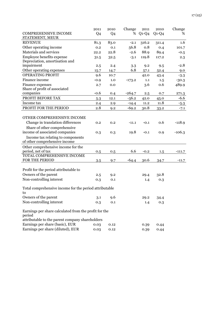|                                                               | 2011   | 2010 | Change   | 2011    | 2010    | Change   |
|---------------------------------------------------------------|--------|------|----------|---------|---------|----------|
| <b>COMPREHENSIVE INCOME</b>                                   | Q4     | Q4   |          | % Q1-Q4 | $Q1-Q4$ | %        |
| STATEMENT, MEUR                                               |        |      |          |         |         |          |
| <b>REVENUE</b>                                                | 81.3   | 83.0 | $-2.1$   | 316.2   | 311.4   | 1.6      |
| Other operating income                                        | 0.2    | 0.1  | 56.8     | 0.8     | 0.4     | 101.7    |
| Materials and services                                        | 22.2   | 22.8 | $-2.6$   | 88.9    | 89.4    | $-0.5$   |
| Employee benefits expense                                     | 31.5   | 32.5 | $-3.1$   | 119.8   | 117.2   | 2.3      |
| Depreciation, amortisation and                                |        |      |          |         |         |          |
| impairment                                                    | 2.5    | 2.4  | 3.3      | 9.2     | 9.5     | $-2.8$   |
| Other operating expenses                                      | 15.7   | 14.7 | 6.8      | 57.1    | 52.4    | 9.0      |
| <b>OPERATING PROFIT</b>                                       | 9.6    | 10.7 |          | 42.0    | 43.4    | $-3.3$   |
| Finance income                                                | $-0.9$ | 1.0  | $-173.2$ | 1.1     | 1.5     | $-30.3$  |
| Finance expenses                                              | 2.7    | 0.0  |          | 3.6     | 0.6     | 489.9    |
| Share of profit of associated                                 |        |      |          |         |         |          |
| companies                                                     | $-0.6$ | 0.4  | $-264.7$ | 2.5     | 0.7     | 271.3    |
| PROFIT BEFORE TAX                                             | 5.3    | 12.1 | $-56.2$  | 42.0    | 45.0    | $-6.6$   |
| Income tax                                                    | 2.4    | 2.9  | $-14.4$  | 11.2    | 11.8    | $-5.3$   |
| PROFIT FOR THE PERIOD                                         | 2.8    | 9.2  | $-69.2$  | 30.8    | 33.2    | $-7.1$   |
|                                                               |        |      |          |         |         |          |
| OTHER COMPREHENSIVE INCOME                                    |        |      |          |         |         |          |
| Change in translation differences                             | 0.2    | 0.2  | $-11.1$  | $-0.1$  | 0.6     | $-118.9$ |
| Share of other comprehensive                                  |        |      |          |         |         |          |
| income of associated companies                                | 0.3    | 0.3  | 19.8     | $-0.1$  | 0.9     | $-106.3$ |
| Income tax relating to components                             |        |      |          |         |         |          |
| of other comprehensive income                                 |        |      |          |         |         |          |
| Other comprehensive income for the                            |        |      |          |         |         |          |
| period, net of tax                                            | 0.5    | 0.5  | 6.6      | $-0.2$  | 1.5     | $-111.7$ |
| TOTAL COMPREHENSIVE INCOME                                    |        |      |          |         |         |          |
| FOR THE PERIOD                                                | 3.5    | 9.7  | $-64.4$  | 30.6    | 34.7    | $-11.7$  |
|                                                               |        |      |          |         |         |          |
| Profit for the period attributable to<br>Owners of the parent |        |      |          |         |         |          |
| Non-controlling interest                                      | 2.5    | 9.2  |          | 29.4    | 32.8    |          |
|                                                               | 0.3    | 0.1  |          | 1.4     | 0.3     |          |
| Total comprehensive income for the period attributable        |        |      |          |         |         |          |
| to                                                            |        |      |          |         |         |          |
| Owners of the parent                                          | 3.1    | 9.6  |          | 29.2    | 34.4    |          |
| Non-controlling interest                                      | 0.3    | 0.1  |          | 1.4     | 0.3     |          |
|                                                               |        |      |          |         |         |          |
| Earnings per share calculated from the profit for the         |        |      |          |         |         |          |
| period                                                        |        |      |          |         |         |          |
| attributable to the parent company shareholders               |        |      |          |         |         |          |
| Earnings per share (basic), EUR                               | 0.03   | 0.12 |          | 0.39    | 0.44    |          |
| Earnings per share (diluted), EUR                             | 0.03   | 0.12 |          | 0.39    | 0.44    |          |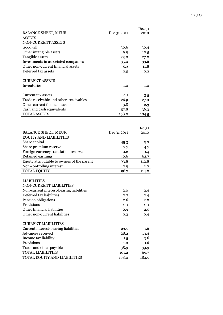|                                        |             | Dec 31 |
|----------------------------------------|-------------|--------|
| <b>BALANCE SHEET, MEUR</b>             | Dec 31 2011 | 2010   |
| <b>ASSETS</b>                          |             |        |
| NON-CURRENT ASSETS                     |             |        |
| Goodwill                               | 30.6        | 30.4   |
| Other intangible assets                | 9.9         | 10.5   |
| Tangible assets                        | 23.0        | 27.8   |
| Investments in associated companies    | 35.0        | 33.6   |
| Other non-current financial assets     | 5.3         | 11.8   |
| Deferred tax assets                    | 0.5         | 0.2    |
| <b>CURRENT ASSETS</b>                  |             |        |
| <b>Inventories</b>                     | 1.0         | 1.0    |
| Current tax assets                     | 4.1         | 3.5    |
| Trade receivable and other receivables | 26.9        | 27.0   |
| Other current financial assets         | 3.8         | 2.3    |
| Cash and cash equivalents              | 57.8        | 36.3   |
| TOTAL ASSETS                           | 198.0       | 184.5  |

|                                             |             | Dec 31 |
|---------------------------------------------|-------------|--------|
| <b>BALANCE SHEET, MEUR</b>                  | Dec 31 2011 | 2010   |
| <b>EQUITY AND LIABILITIES</b>               |             |        |
| Share capital                               | 45.3        | 45.0   |
| Share premium reserve                       | 7.7         | 4.7    |
| Foreign currency translation reserve        | 0.2         | 0.4    |
| Retained earnings                           | 40.6        | 62.7   |
| Equity attributable to owners of the parent | 93.8        | 112.8  |
| Non-controlling interest                    | 2.9         | 2.0    |
| TOTAL EQUITY                                | 96.7        | 114.8  |
|                                             |             |        |
| <b>LIABILITIES</b>                          |             |        |
| <b>NON-CURRENT LIABILITIES</b>              |             |        |
| Non-current interest-bearing liabilities    | 2.0         | 2.4    |
| Deferred tax liabilities                    | 2.2         | 2.4    |
| Pension obligations                         | 2.6         | 2.8    |
| Provisions                                  | 0.1         | 0.1    |
| Other financial liabilities                 | 0.9         | 2.5    |
| Other non-current liabilities               | 0.3         | 0.4    |
|                                             |             |        |
| <b>CURRENT LIABILITIES</b>                  |             |        |
| Current interest-bearing liabilities        | 23.5        | 1.6    |
| Advances received                           | 28.2        | 13.4   |
| Income tax liability                        | 1.5         | 3.6    |
| Provisions                                  | 1.0         | 0.6    |
| Trade and other payables                    | 38.9        | 39.9   |
| <b>TOTAL LIABILITIES</b>                    | 101.2       | 69.7   |
| TOTAL EQUITY AND LIABILITIES                | 198.0       | 184.5  |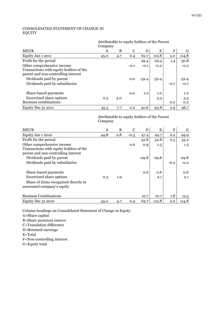# CONSOLIDATED STATEMENT OF CHANGE IN EQUITY

## Attributable to equity holders of the Parent Company

|                                         | --- r ---- <i>.</i> |     |        |         |        |        |         |
|-----------------------------------------|---------------------|-----|--------|---------|--------|--------|---------|
| <b>MEUR</b>                             | A                   | B   | C      | D       | E      | F      | G       |
| Equity Jan 1 2011                       | 45.0                | 4.7 | 0.4    | 62.7    | 112.8  | 2.0    | 114.8   |
| Profit for the period                   |                     |     |        | 29.4    | 29.4   | 1.4    | 30.8    |
| Other comprehensive income              |                     |     | $-0.1$ | $-0.1$  | $-0.2$ |        | $-0.2$  |
| Transactions with equity holders of the |                     |     |        |         |        |        |         |
| parent and non-controlling interest     |                     |     |        |         |        |        |         |
| Dividends paid by parent                |                     |     | 0.0    | $-52.4$ | -52.4  |        | $-52.4$ |
| Dividends paid by subsidiaries          |                     |     |        |         |        | $-0.7$ | $-0.7$  |
|                                         |                     |     |        |         |        |        |         |
| Share-based payments                    |                     |     | 0.0    | 1.0     | 1.0    |        | 1.0     |
| <b>Excercised share options</b>         | 0.3                 | 3.0 |        |         | 3.3    |        | 3.3     |
| <b>Business combinations</b>            |                     |     |        |         |        | 0.2    | 0.2     |
| Equity Dec 31 2011                      | 45.3                | 7.7 | 0.2    | 40.6    | 93.8   | 2.9    | 96.7    |

## Attributable to equity holders of the Parent Company

| <b>MEUR</b>                             | A    | B   | C      | D       | E       | ${\bf F}$ | G       |
|-----------------------------------------|------|-----|--------|---------|---------|-----------|---------|
| Equity Jan 1 2010                       | 44.8 | 2.8 | $-0.3$ | 47.4    | 94.7    | 0.2       | 94.9    |
| Profit for the period                   |      |     |        | 32.8    | 32.8    | 0.3       | 33.2    |
| Other comprehensive income              |      |     | 0.6    | 0.9     | 1.5     |           | 1.5     |
| Transactions with equity holders of the |      |     |        |         |         |           |         |
| parent and non-controlling interest     |      |     |        |         |         |           |         |
| Dividends paid by parent                |      |     |        | $-29.8$ | $-29.8$ |           | $-29.8$ |
| Dividends paid by subsidiaries          |      |     |        |         |         | $-0.2$    | $-0.2$  |
|                                         |      |     |        |         |         |           |         |
| Share-based payments                    |      |     |        | 0.6     | 0.6     |           | 0.6     |
| <b>Excercised share options</b>         | 0.3  | 1.9 |        |         | 2.1     |           | 2.1     |
| Share of items recognised directly in   |      |     |        |         |         |           |         |
| associated company's equity             |      |     |        |         |         |           |         |
|                                         |      |     |        |         |         |           |         |
| <b>Business Combinations</b>            |      |     |        | 10.7    | 10.7    | 1.8       | 12.5    |
| <b>Equity Dec 31 2010</b>               | 45.0 | 4.7 | 0.4    | 62.7    | 112.8   | 2.0       | 114.8   |

Column headings on Consolidated Statement of Change in Equity

A=Share capital

B=Share premium reserve

C=Translation difference

D=Retained earnings

E=Total

F=Non-controlling interest

G=Equity total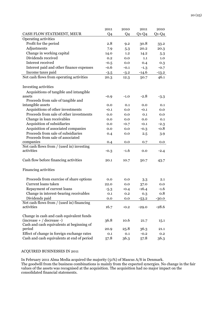|                                                                | 2011   | 2010   | 2011    | 2010    |
|----------------------------------------------------------------|--------|--------|---------|---------|
| CASH FLOW STATEMENT, MEUR                                      | Q4     | Q4     | $Q1-Q4$ | $Q1-Q4$ |
| Operating activities                                           |        |        |         |         |
| Profit for the period                                          | 2.8    | 9.2    | 30.8    | 33.2    |
| Adjustments                                                    | 7.9    | 5.3    | 20.2    | 20.3    |
| Change in working capital                                      | 14.0   | 1.2    | 14.2    | 5.3     |
| Dividends received                                             | 0.2    | 0.0    | 1.1     | 1.0     |
| Interest received                                              | $-0.5$ | 0.0    | 0.4     | 0.3     |
| Interest paid and other finance expenses                       | $-0.6$ | $-0.1$ | $-1.3$  | $-0.7$  |
| Income taxes paid                                              | $-3.5$ | $-3.2$ | $-14.6$ | $-13.2$ |
| Net cash flows from operating activities                       | 20.3   | 12.3   | 50.7    | 46.1    |
|                                                                |        |        |         |         |
| Investing activities                                           |        |        |         |         |
| Acquisitions of tangible and intangible                        |        |        |         |         |
| assets                                                         | $-0.9$ | $-1.0$ | $-2.8$  | $-3.3$  |
| Proceeds from sale of tangible and                             |        |        |         |         |
| intangible assets                                              | 0.0    | 0.1    | 0.0     | 0.1     |
| Acquisitions of other investments                              | $-0.1$ | 0.0    | $-0.1$  | 0.0     |
| Proceeds from sale of other investments                        | 0.0    | 0.0    | 0.1     | 0.0     |
| Change in loan receivables                                     | 0.0    | 0.0    | 0.0     | 0.1     |
| Acquisition of subsidiaries                                    | 0.0    | $-0.7$ | $-0.1$  | $-2.3$  |
| Acquisition of associated companies                            | 0.0    | 0.0    | $-0.3$  | $-0.8$  |
| Proceeds from sale of subsidiaries                             | 0.4    | 0.0    | 2.5     | 3.9     |
| Proceeds from sale of associated                               |        |        |         |         |
| companies                                                      | 0.4    | 0.0    | 0.7     | 0.0     |
| Net cash flows from / (used in) investing                      |        |        |         |         |
| activities                                                     | $-0.3$ | $-1.6$ | 0.0     | $-2.4$  |
|                                                                |        |        |         |         |
| Cash flow before financing activities                          | 20.1   | 10.7   | 50.7    | 43.7    |
|                                                                |        |        |         |         |
| <b>Financing activities</b>                                    |        |        |         |         |
|                                                                |        |        |         |         |
| Proceeds from exercise of share options<br>Current loans taken | 0.0    | 0.0    | 3.3     | 2.1     |
|                                                                | 22.0   | 0.0    | 37.0    | 0.0     |
| Repayment of current loans                                     | $-5.3$ | -0.4   | $-16.4$ | $-1.6$  |
| Change in interest-bearing receivables                         | 0.1    | 0.2    | 0.3     | 0.8     |
| Dividends paid                                                 | 0.0    | 0.0    | $-53.2$ | $-30.0$ |
| Net cash flows from / (used in) financing<br>activities        |        |        |         | $-28.6$ |
|                                                                | 16.7   | $-0.2$ | $-29.0$ |         |
| Change in cash and cash equivalent funds                       |        |        |         |         |
| $(increase + / decrease -)$                                    | 36.8   | 10.6   | 21.7    | 15.1    |
| Cash and cash equivalents at beginning of                      |        |        |         |         |
| period                                                         | 20.9   | 25.8   | 36.3    | 21.1    |
| Effect of change in foreign exchange rates                     | 0.1    | 0.1    | $-0.2$  | 0.2     |
| Cash and cash equivalents at end of period                     | 57.8   | 36.3   | 57.8    | 36.3    |

## ACQUIRED BUSINESSES IN 2011

In February 2011 Alma Media acquired the majority (51%) of Mascus A/S in Denmark. The goodwill from the business combinations is mainly from the expected synergies. No change in the fair values of the assets was recognised at the acquisition. The acquisition had no major impact on the consolidated financial statements.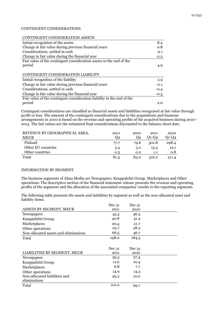## 21 (25)

## CONTINGENT CONSIDERATIONS

#### CONTINGENT CONSIDERATION ASSETS

| Initial recognition of the assets                                      | 8.4    |
|------------------------------------------------------------------------|--------|
| Change in fair value during previous financial years                   | 0.8    |
| Considerations, settled in cash                                        | $-2.1$ |
| Change in fair value during the financial year                         | $-2,2$ |
| Fair value of the contingent consideration assets in the end of the    |        |
| period                                                                 | 4.9    |
|                                                                        |        |
| CONTINGENT CONSIDERATION LIABILITY                                     |        |
| Initial recognition of the liability                                   | 2.9    |
| Change in fair value during previous financial years                   | $-0.1$ |
| Considerations, settled in cash                                        | $-0.4$ |
| Change in fair value during the financial year                         | $-0.5$ |
| Fair value of the contingent consideration liability in the end of the |        |
| period                                                                 | 2.0    |

Contingent considerations are classified as financial assets and liabilities recognised at fair value through profit or loss. The amount of the contingent considerations due to the acquisitions and business arrangements in 2010 is based on the revenue and operating profits of the acquired business during 2010– 2013. The fair values are the estimated final considerations discounted to the balance sheet date.

| REVENUE BY GEOGRAPHICAL AREA, | 2011 | 2010 | 2011  | 2010      |
|-------------------------------|------|------|-------|-----------|
| <b>MEUR</b>                   | Q4   | Q4   | 01-04 | $O1 - O4$ |
| Finland                       | 77.7 | 79.6 | 301.8 | 298.4     |
| Other EU countries            | 3.4  | 3.2  | 13.3  | 12.1      |
| Other countries               | 0.3  | 0.2  | 1.1   | 0.8       |
| Total                         | 81.3 | 83.0 | 316.2 | 311.4     |

## INFORMATION BY SEGMENT

The business segments of Alma Media are Newspapers, Kauppalehti Group, Marketplaces and Other operations. The descriptive section of the financial statement release presents the revenue and operating profits of the segments and the allocation of the associated companies' results to the reporting segments.

The following table presents the assets and liabilities by segment as well as the non-allocated asset and liability items.

|                                       | Dec 31 | Dec 31 |  |
|---------------------------------------|--------|--------|--|
| ASSETS BY SEGMENT, MEUR               | 2011   | 2010   |  |
| Newspapers                            | 45.5   | 46.3   |  |
| Kauppalehti Group                     | 40.8   | 41.4   |  |
| Marketplaces                          | 20,4   | 21.7   |  |
| Other operations                      | 22,7   | 28.5   |  |
| Non-allocated assets and eliminations | 68.5   | 46.7   |  |
| Total                                 | 198.0  | 184.5  |  |
|                                       |        |        |  |
|                                       |        |        |  |
|                                       | Dec 31 | Dec 31 |  |
| LIABILITIES BY SEGMENT, MEUR          | 2011   | 2010   |  |
| Newspapers                            | 39.3   | 27.4   |  |
| Kauppalehti Group                     | 11.0   | 10.4   |  |
| Marketplaces                          | 6.8    | 7.7    |  |
| Other operations                      | 14.9   | 14.3   |  |
| Non-allocated liabilities and         | 29.2   | 10.0   |  |
| eliminations                          |        |        |  |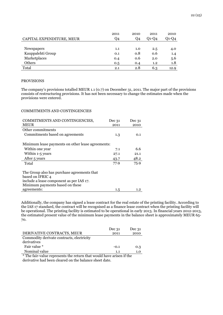|                           | 2011 | 2010 | 2011  | 2010  |
|---------------------------|------|------|-------|-------|
| CAPITAL EXPENDITURE, MEUR | Q4   | Q4   | 01-04 | O1-O4 |
|                           |      |      |       |       |
| Newspapers                | 1.1  | 1.0  | 2.5   | 4.0   |
| Kauppalehti Group         | 0.1  | 0.8  | 0.6   | 1.4   |
| Marketplaces              | 0.4  | 0.6  | 2.0   | 5.6   |
| Others                    | 0.5  | 0.4  | 1.2   | 1.8   |
| Total                     | 2.1  | 2.8  | 6.3   | 12.9  |

#### PROVISIONS

The company's provisions totalled MEUR 1.1 (0.7) on December 31, 2011. The major part of the provisions consists of restructuring provisions. It has not been necessary to change the estimates made when the provisions were entered.

## COMMITMENTS AND CONTINGENCIES

| COMMITMENTS AND CONTINGENCIES,                                  | Dec 31  | Dec 31  |
|-----------------------------------------------------------------|---------|---------|
| <b>MEUR</b>                                                     | 2011    | 2010    |
| Other commitments                                               |         |         |
| Commitments based on agreements                                 | 1.3     | 0.1     |
| Minimum lease payments on other lease agreements:               |         |         |
| Within one year                                                 | 7.1     | 6.6     |
| Within 1-5 years                                                | 27.1    | 21.1    |
| After 5 years                                                   | 43.7    | 48.2    |
| Total                                                           | 77.9    | 75.9    |
| The Group also has purchase agreements that<br>based on IFRIC 4 |         |         |
| include a lease component as per IAS 17.                        |         |         |
| Minimum payments based on these                                 |         |         |
| agreements:                                                     | $1.5\,$ | $1.2\,$ |

Additionally, the company has signed a lease contract for the real estate of the printing facility. According to the IAS 17 standard, the contract will be recognised as a finance lease contract when the printing facility will be operational. The printing facility is estimated to be operational in early 2013. In financial years 2012-2013, the estimated present value of the minimum lease payments in the balance sheet is approximately MEUR 65- 70.

|                                           | Dec 31 | Dec 31     |
|-------------------------------------------|--------|------------|
| DERIVATIVE CONTRACTS, MEUR                | 2011   | 2010       |
| Commodity derivate contracts, electricity |        |            |
| derivatives                               |        |            |
| Fair value *                              | $-0.1$ | 0.3        |
| Nominal value                             |        | 1.0<br>1.1 |

\* The fair-value represents the return that would have arisen if the derivative had been cleared on the balance sheet date.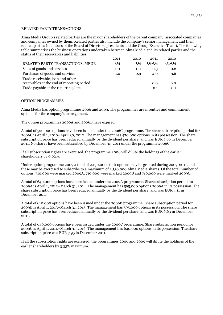#### RELATED PARTY TRANSACTIONS

Alma Media Group's related parties are the major shareholders of the parent company, associated companies and companies owned by them. Related parties also include the company's senior management and their related parties (members of the Board of Directors, presidents and the Group Executive Team). The following table summarises the business operations undertaken between Alma Media and its related parties and the status of their receivables and liabilities:

|                                            | 2011 | 2010 | 2011  | 2010    |
|--------------------------------------------|------|------|-------|---------|
| RELATED PARTY TRANSACTIONS, MEUR           | Q4   | Q4   | 01-04 | $O1-O4$ |
| Sales of goods and services                | 0.1  | 0.1  | 0.3   | 0.2     |
| Purchases of goods and services            | 1.0  | 0.9  | 4.0   | 3.6     |
| Trade receivable, loan and other           |      |      |       |         |
| receivables at the end of reporting period |      |      | 0.0   | 0.0     |
| Trade payable at the reporting date        |      |      | 0.1   | 0.1     |

#### OPTION PROGRAMMES

Alma Media has option programmes 2006 and 2009. The programmes are incentive and commitment systems for the company's management.

The option programmes 2006A and 2006B have expired.

A total of 520,000 options have been issued under the 2006C programme. The share subscription period for 2006C is April 1, 2010–April 30, 2012. The management has 470,000 options in its possession. The share subscription price has been reduced annually by the dividend per share, and was EUR 7.66 in December 2011. No shares have been subscribed by December 31, 2011 under the programme 2006C.

If all subscription rights are exercised, the programme 2006 will dilute the holdings of the earlier shareholders by 0.62%.

Under option programme 2009 a total of 2,130,000 stock options may be granted during 2009-2011, and these may be exercised to subscribe to a maximum of 2,130,000 Alma Media shares. Of the total number of options, 710,000 were marked 2009A, 710,000 were marked 2009B and 710,000 were marked 2009C.

A total of 640,000 options have been issued under the 2009A programme. Share subscription period for 2009A is April 1, 2012–March 31, 2014. The management has 595,000 options 2009A in its possession. The share subscription price has been reduced annually by the dividend per share, and was EUR 4.11 in December 2011.

A total of 610,000 options have been issued under the 2009B programme. Share subscription period for 2009B is April 1, 2013–March 31, 2015. The management has 595,000 options in its possession. The share subscription price has been reduced annually by the dividend per share, and was EUR 6.63 in December 2011.

A total of 640,000 options have been issued under the 2009C programme. Share subscription period for 2009C is April 1, 2014–March 31, 2016. The management has 640,000 options in its possession. The share subscription price was EUR 7.95 in December 2011.

If all the subscription rights are exercised, the programmes 2006 and 2009 will dilute the holdings of the earlier shareholders by 3.33% maximum.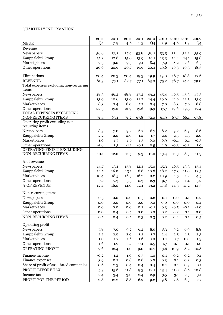# QUARTERLY INFORMATION

|                                         | 2011           | 2011    | 2011    | 2011    | 2010    | 2010    | 2010    | 2010    | 2009    |
|-----------------------------------------|----------------|---------|---------|---------|---------|---------|---------|---------|---------|
| <b>MEUR</b>                             | Q <sub>4</sub> | $7 - 9$ | $4 - 6$ | $1 - 3$ | Q4      | $7 - 9$ | $4 - 6$ | $1 - 3$ | Q4      |
| Revenue                                 |                |         |         |         |         |         |         |         |         |
| Newspapers                              | 56.6           | 53.1    | 57.9    | 53.8    | 58.1    | 53.5    | 55.4    | 52.2    | 55.9    |
| Kauppalehti Group                       | 15.2           | 12.6    | 15.0    | 13.9    | 16.1    | 13.3    | 14.4    | 14.1    | 15.8    |
| Marketplaces                            | 9.3            | 9.0     | 9.5     | 9.1     | 8.4     | 7.9     | 8.2     | 7.6     | 6.5     |
| Other operations                        | 20.6           | 20.6    | 20.7    | 19.6    | 20.4    | 19.6    | 19.3    | 19.3    | 18.3    |
|                                         |                |         |         |         |         |         |         |         |         |
| Eliminations                            | $-20.4$        | $-20.3$ | $-20.4$ | $-19.3$ | $-19.9$ | $-19.0$ | $-18.7$ | 18.8    | $-17.6$ |
| <b>REVENUE</b>                          | 81.3           | 75.1    | 82.7    | 77.1    | 83.0    | 75.2    | 78.7    | 74.4    | 79.0    |
| Total expenses excluding non-recurring  |                |         |         |         |         |         |         |         |         |
| items                                   |                |         |         |         |         |         |         |         |         |
| Newspapers                              | 48.3           | 46.2    | 48.8    | 47.2    | 49.2    | 45.4    | 46.5    | 45.3    | 47.3    |
| Kauppalehti Group                       | 13.0           | 10.6    | 13.0    | 12.7    | 14.4    | 10.9    | 11.9    | 12.5    | 13.9    |
| Marketplaces                            | 8.3            | 7.4     | 8.0     | 7.7     | 8.4     | 7.0     | 8.3     | 7.6     | 6.8     |
| Other operations                        | 22.3           | 19.2    | 21.9    | 19.6    | 19.9    | 17.7    | 19.6    | 19.5    | 17.4    |
| TOTAL EXPENSES EXCLUDING                |                |         |         |         |         |         |         |         |         |
| NON-RECURRING ITEMS                     | 71.4           | 63.1    | 71.2    | 67.8    | 72.0    | 61.9    | 67.7    | 66.1    | 67.8    |
| Operating profit excluding non-         |                |         |         |         |         |         |         |         |         |
| recurring items                         |                |         |         |         |         |         |         |         |         |
| Newspapers                              | 8.3            | 7.0     | 9.2     | 6.7     | 8.7     | 8.2     | 9.2     | 6.9     | 8.6     |
| Kauppalehti Group                       | 2.2            | 2.0     | 2.0     | 1.2     | 1.7     | 2.4     | 2.5     | 1.5     | 2.0     |
| Marketplaces                            | 1.0            | 1.7     | 1.6     | 1.5     | 0.0     | 0.9     | $-0.1$  | 0.1     | $-0.3$  |
| Other operations                        | $-1.6$         | 1.5     | $-1.1$  | $-0.1$  | 0.5     | 1.9     | $-0.3$  | $-0.3$  | 1.0     |
| OPERATING PROFIT EXCLUDING              |                |         |         |         |         |         |         |         |         |
| NON-RECURRING ITEMS                     | 10.1           | 12.0    | 11.5    | 9.3     | 11.0    | 13.4    | 11.3    | 8.3     | 11.3    |
| % of revenue                            |                |         |         |         |         |         |         |         |         |
| Newspapers                              | 14.7           | 13.1    | 15.8    | 12.4    | 15.0    | 15.3    | 16.5    | 13.3    | 15.4    |
| Kauppalehti Group                       | 14.5           | 16.0    | 13.1    | 8.6     | 10.8    | 18.2    | 17.3    | 11.0    | 12.5    |
| Marketplaces                            | 10.4           | 18.5    | 16.3    | 16.2    | 0.2     | 10.9    | $-1.5$  | 1.2     | $-4.5$  |
| Other operations                        | $-7.7$         | 7.3     | $-5.5$  | $-0.3$  | 2.3     | 9.7     | $-1.5$  | $-1.4$  | 5.2     |
| % OF REVENUE                            | 12.4           | 16.0    | 14.0    | 12.1    | 13.2    | 17.8    | 14.3    | 11.2    | 14.3    |
|                                         |                |         |         |         |         |         |         |         |         |
| Non-recurring items                     |                |         |         |         |         |         |         |         |         |
| Newspapers                              | $-0.5$         | 0.0     | 0.0     | $-0.5$  | $-0.2$  | 0.1     | 0.0     | $-0.1$  | 0.2     |
| Kauppalehti Group                       | $_{0.0}$       | 0.0     | 0.0     | 0.0     | 0.0     | 0.0     | 0.0     | 0.0     | 0.4     |
| Marketplaces                            | 0.0            | 0.0     | 0.0     | 0.2     | $-0.1$  | 0.3     | $-0.5$  | $-0.1$  | $-1.0$  |
| Other operations                        | 0.0            | 0.4     | $-0.5$  | 0.0     | 0.0     | $-0.2$  | 0.2     | 0.1     | 0.0     |
| NON-RECURRING ITEMS                     | $-0.5$         | 0.4     | $-0.5$  | $-0.3$  | $-0.3$  | 0.2     | $-0.4$  | $-0.1$  | $-0.5$  |
|                                         |                |         |         |         |         |         |         |         |         |
| Operating profit                        |                |         |         |         |         |         |         |         |         |
| Newspapers                              | 7.8            | 7.0     | 9.2     | 6.2     | 8.5     | 8.3     | 9.2     | 6.9     | 8.8     |
| Kauppalehti Group                       | 2.2            | 2.0     | 2.0     | 1.2     | 1.7     | 2.4     | 2.5     | 1.5     | 2.3     |
| Marketplaces                            | 1.0            | 1.7     | 1.6     | 1.6     | 0.0     | 1.1     | $-0.7$  | 0.0     | $-1.3$  |
| Other operations                        | $-1.6$         | 1.9     | $-1.7$  | $-0.1$  | 0.5     | 1.7     | $-0.1$  | $-0.1$  | 1.0     |
| OPERATING PROFIT                        | 9.6            | 12.4    | 11.0    | 9.0     | 10.7    | 13.6    | 10.9    | 8.2     | 10.8    |
| Finance income                          | $-0.2$         | 1.2     | 1.0     | 0.5     | 1.0     | 0.1     | 0.2     | 0.2     | 0.1     |
| Finance expenses                        | 3.9            | 0.2     | 0.8     | 0.6     | 0.0     | 0.3     | 0.1     | 0.2     | 0.3     |
| Share of profit of associated companies | $-0.6$         | 2.3     | 0.4     | 0.4     | 0.4     | $-0.1$  | 0.1     | 0.3     | 0.1     |
| PROFIT BEFORE TAX                       | 5.3            | 15.6    | 11.8    | 9.3     | 12.1    | 13.4    | 11.0    | 8.6     | 10.8    |
| Income tax                              | $-2.4$         | $-3.4$  | $-3.0$  | $-2.4$  | $-2.9$  | $-3.5$  | $-3.1$  | $-2.3$  | $-3.1$  |
| PROFIT FOR THE PERIOD                   | 2.8            | 12.2    | 8.8     | 6.9     | 9.2     | 9.8     | 7.8     | 6.3     | 7.7     |